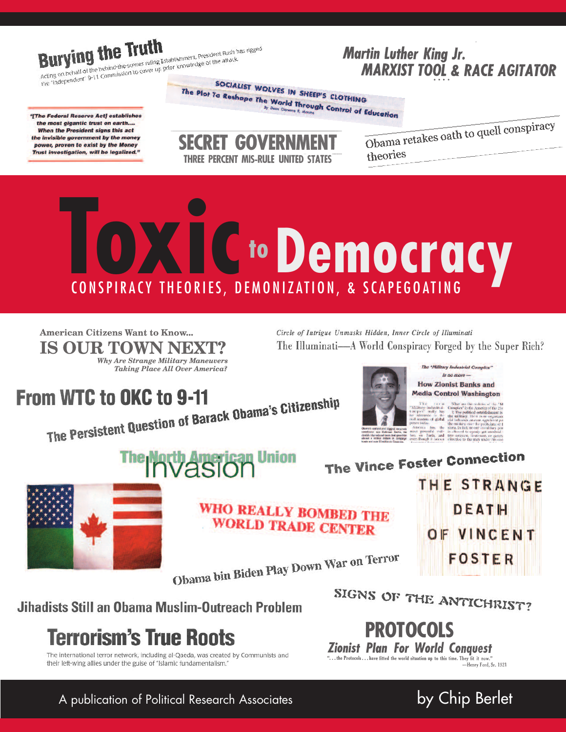**Burying the Truth** 

#### **Martin Luther King Jr. MARXIST TOOL & RACE AGITATOR**

Acting on behalf of the behind the scenes ruling Establishment, President Bush has rigged Acting on ochem or the beninkrate stemes runng establishment, racsident push in<br>the "independent" 9-11 Commission to cover up prior knowledge of the attack.

"The Federal Reserve Act1 establishes the most gigantic trust on earth.... When the President signs this act the invisible government by the money power, proven to exist by the Money Trust investigation, will be legalized."

SOCIALIST WOLVES IN SHEEP'S CLOTHING The Plot To Reshape The World Through Control of Education

**SECRET GOVERNME THREE PERCENT MIS-RULE UNITED STATES**  Obama retakes oath to quell conspiracy theories

# OXI C to Democracy CONSPIRACY THEORIES, DEMONIZATION, & SCAPEGOATING

**American Citizens Want to Know...** IS OUR TOWN NEXT? Why Are Strange Military Maneuvers **Taking Place All Over America?**  Circle of Intrigue Unmasks Hidden, Inner Circle of Illuminati The Illuminati—A World Conspiracy Forged by the Super Rich?

### **From WTC to OKC to 9-11**

The Persistent Question of Barack Obama's Citizenship





**How Zionist Banks and Media Control Washington** What are the realities of the <sup>4</sup>M<br>proplec<sup>t</sup> in the America of the 21st

The "Military Industrial Complex"

 $\overline{B}$  no more  $\overline{B}$ 

space" really hus the political estimate in the control estimates of global trial influence or even in<br>masters of global trial influence or even in existence that the military over the military over the military over the m and

THE STRANGE

DEATH

OF VINCENT

FOSTER

nost powerm<br>bay on Earth,<br>even though it is

The Vince Foster Connection



WHO REALLY BOMBED THE **WORLD TRADE CENTER** 

Obama bin Biden Play Down War on Terror

Jihadists Still an Obama Muslim-Outreach Problem

# **Terrorism's True Roots**

The international terror network, including al-Qaeda, was created by Communists and their left-wing allies under the guise of "Islamic fundamentalism."



**PROTOCOLS Zionist Plan For World Conavest** "... the Protocols ... have fitted the world situation up to this time. They fit it now." -Henry Ford, Sr. 1921

by Chip Berlet

A publication of Political Research Associates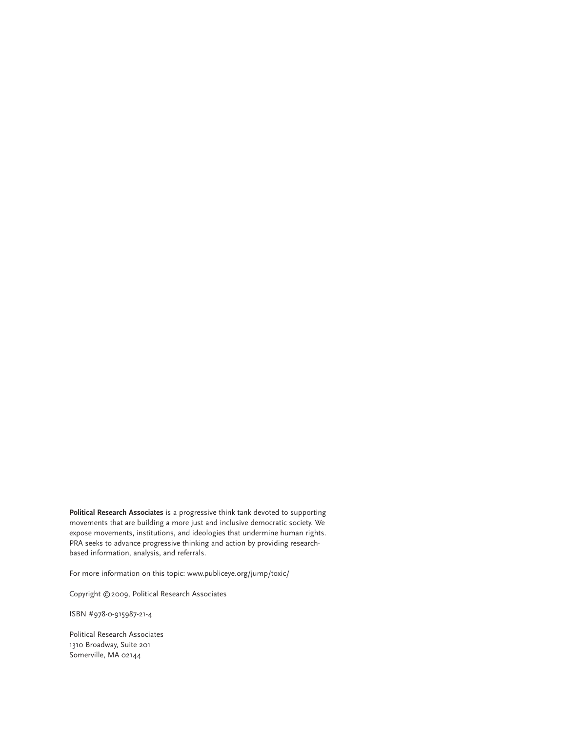**Political Research Associates** is a progressive think tank devoted to supporting movements that are building a more just and inclusive democratic society. We expose movements, institutions, and ideologies that undermine human rights. PRA seeks to advance progressive thinking and action by providing researchbased information, analysis, and referrals.

For more information on this topic: www.publiceye.org/jump/toxic/

Copyright ©2009, Political Research Associates

ISBN #978-0-915987-21-4

Political Research Associates 1310 Broadway, Suite 201 Somerville, MA 02144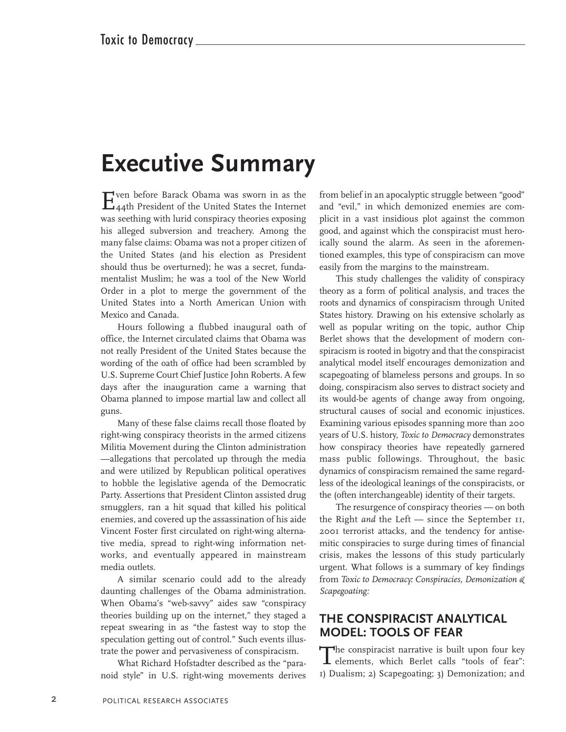## **Executive Summary**

Even before Barack Obama was sworn in as the 44th President of the United States the Internet was seething with lurid conspiracy theories exposing his alleged subversion and treachery. Among the many false claims: Obama was not a proper citizen of the United States (and his election as President should thus be overturned); he was a secret, fundamentalist Muslim; he was a tool of the New World Order in a plot to merge the government of the United States into a North American Union with Mexico and Canada.

Hours following a flubbed inaugural oath of office, the Internet circulated claims that Obama was not really President of the United States because the wording of the oath of office had been scrambled by U.S. Supreme Court Chief Justice John Roberts. A few days after the inauguration came a warning that Obama planned to impose martial law and collect all guns.

Many of these false claims recall those floated by right-wing conspiracy theorists in the armed citizens Militia Movement during the Clinton administration —allegations that percolated up through the media and were utilized by Republican political operatives to hobble the legislative agenda of the Democratic Party. Assertions that President Clinton assisted drug smugglers, ran a hit squad that killed his political enemies, and covered up the assassination of his aide Vincent Foster first circulated on right-wing alternative media, spread to right-wing information networks, and eventually appeared in mainstream media outlets.

A similar scenario could add to the already daunting challenges of the Obama administration. When Obama's "web-savvy" aides saw "conspiracy theories building up on the internet," they staged a repeat swearing in as "the fastest way to stop the speculation getting out of control." Such events illustrate the power and pervasiveness of conspiracism.

What Richard Hofstadter described as the "paranoid style" in U.S. right-wing movements derives from belief in an apocalyptic struggle between "good" and "evil," in which demonized enemies are complicit in a vast insidious plot against the common good, and against which the conspiracist must heroically sound the alarm. As seen in the aforementioned examples, this type of conspiracism can move easily from the margins to the mainstream.

This study challenges the validity of conspiracy theory as a form of political analysis, and traces the roots and dynamics of conspiracism through United States history. Drawing on his extensive scholarly as well as popular writing on the topic, author Chip Berlet shows that the development of modern conspiracism is rooted in bigotry and that the conspiracist analytical model itself encourages demonization and scapegoating of blameless persons and groups. In so doing, conspiracism also serves to distract society and its would-be agents of change away from ongoing, structural causes of social and economic injustices. Examining various episodes spanning more than 200 years of U.S. history, *Toxic to Democracy* demonstrates how conspiracy theories have repeatedly garnered mass public followings. Throughout, the basic dynamics of conspiracism remained the same regardless of the ideological leanings of the conspiracists, or the (often interchangeable) identity of their targets.

The resurgence of conspiracy theories — on both the Right *and* the Left — since the September 11, 2001 terrorist attacks, and the tendency for antisemitic conspiracies to surge during times of financial crisis, makes the lessons of this study particularly urgent. What follows is a summary of key findings from *Toxic to Democracy: Conspiracies, Demonization & Scapegoating:*

#### **THE CONSPIRACIST ANALYTICAL MODEL: TOOLS OF FEAR**

The conspiracist narrative is built upon four key **L** elements, which Berlet calls "tools of fear": 1) Dualism; 2) Scapegoating; 3) Demonization; and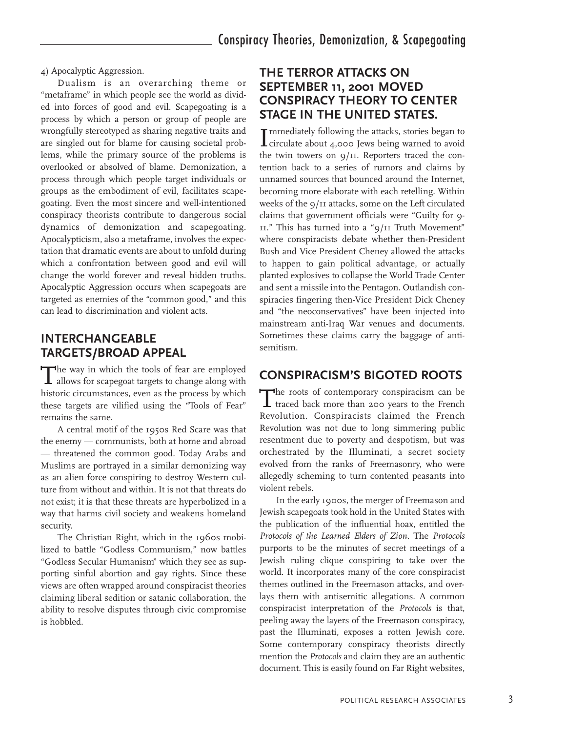4) Apocalyptic Aggression.

Dualism is an overarching theme or "metaframe" in which people see the world as divided into forces of good and evil. Scapegoating is a process by which a person or group of people are wrongfully stereotyped as sharing negative traits and are singled out for blame for causing societal problems, while the primary source of the problems is overlooked or absolved of blame. Demonization, a process through which people target individuals or groups as the embodiment of evil, facilitates scapegoating. Even the most sincere and well-intentioned conspiracy theorists contribute to dangerous social dynamics of demonization and scapegoating. Apocalypticism, also a metaframe, involves the expectation that dramatic events are about to unfold during which a confrontation between good and evil will change the world forever and reveal hidden truths. Apocalyptic Aggression occurs when scapegoats are targeted as enemies of the "common good," and this can lead to discrimination and violent acts.

#### **INTERCHANGEABLE TARGETS/BROAD APPEAL**

The way in which the tools of fear are employed<br>allows for scapegoat targets to change along with historic circumstances, even as the process by which these targets are vilified using the "Tools of Fear" remains the same.

A central motif of the 1950s Red Scare was that the enemy — communists, both at home and abroad — threatened the common good. Today Arabs and Muslims are portrayed in a similar demonizing way as an alien force conspiring to destroy Western culture from without and within. It is not that threats do not exist; it is that these threats are hyperbolized in a way that harms civil society and weakens homeland security.

The Christian Right, which in the 1960s mobilized to battle "Godless Communism," now battles "Godless Secular Humanism" which they see as supporting sinful abortion and gay rights. Since these views are often wrapped around conspiracist theories claiming liberal sedition or satanic collaboration, the ability to resolve disputes through civic compromise is hobbled.

#### **THE TERROR ATTACKS ON SEPTEMBER 11, 2001 MOVED CONSPIRACY THEORY TO CENTER STAGE IN THE UNITED STATES.**

Immediately following the attacks, stories began to<br>circulate about 4,000 Jews being warned to avoid circulate about 4,000 Jews being warned to avoid the twin towers on 9/11. Reporters traced the contention back to a series of rumors and claims by unnamed sources that bounced around the Internet, becoming more elaborate with each retelling. Within weeks of the 9/11 attacks, some on the Left circulated claims that government officials were "Guilty for 9- 11." This has turned into a "9/11 Truth Movement" where conspiracists debate whether then-President Bush and Vice President Cheney allowed the attacks to happen to gain political advantage, or actually planted explosives to collapse the World Trade Center and sent a missile into the Pentagon. Outlandish conspiracies fingering then-Vice President Dick Cheney and "the neoconservatives" have been injected into mainstream anti-Iraq War venues and documents. Sometimes these claims carry the baggage of antisemitism.

#### **CONSPIRACISM'S BIGOTED ROOTS**

The roots of contemporary conspiracism can be traced back more than 200 years to the French Revolution. Conspiracists claimed the French Revolution was not due to long simmering public resentment due to poverty and despotism, but was orchestrated by the Illuminati, a secret society evolved from the ranks of Freemasonry, who were allegedly scheming to turn contented peasants into violent rebels.

In the early 1900s, the merger of Freemason and Jewish scapegoats took hold in the United States with the publication of the influential hoax, entitled the *Protocols of the Learned Elders of Zion.* The *Protocols* purports to be the minutes of secret meetings of a Jewish ruling clique conspiring to take over the world. It incorporates many of the core conspiracist themes outlined in the Freemason attacks, and overlays them with antisemitic allegations. A common conspiracist interpretation of the *Protocols* is that, peeling away the layers of the Freemason conspiracy, past the Illuminati, exposes a rotten Jewish core. Some contemporary conspiracy theorists directly mention the *Protocols* and claim they are an authentic document. This is easily found on Far Right websites,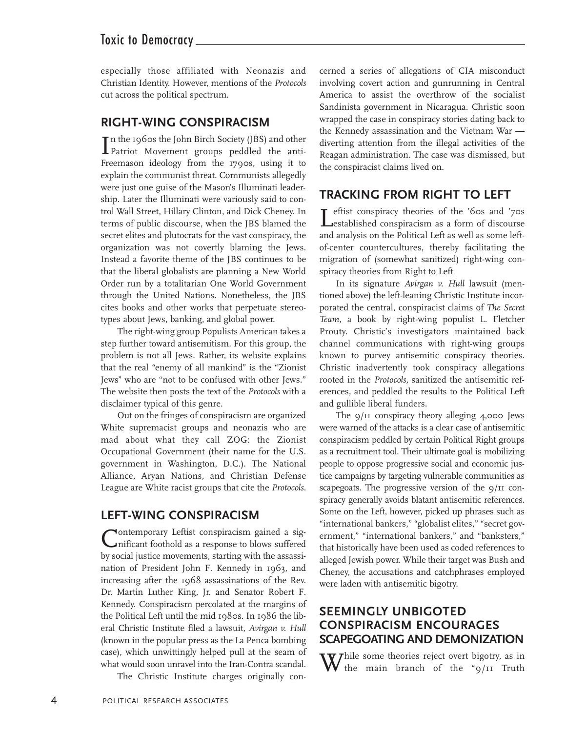#### Toxic to Democracy

especially those affiliated with Neonazis and Christian Identity. However, mentions of the *Protocols* cut across the political spectrum.

#### **RIGHT-WING CONSPIRACISM**

In the 1960s the John Birch Society (JBS) and other<br>Patriot Movement groups peddled the antin the 1960s the John Birch Society (JBS) and other Freemason ideology from the 1790s, using it to explain the communist threat. Communists allegedly were just one guise of the Mason's Illuminati leadership. Later the Illuminati were variously said to control Wall Street, Hillary Clinton, and Dick Cheney. In terms of public discourse, when the JBS blamed the secret elites and plutocrats for the vast conspiracy, the organization was not covertly blaming the Jews. Instead a favorite theme of the JBS continues to be that the liberal globalists are planning a New World Order run by a totalitarian One World Government through the United Nations. Nonetheless, the JBS cites books and other works that perpetuate stereotypes about Jews, banking, and global power.

The right-wing group Populists American takes a step further toward antisemitism. For this group, the problem is not all Jews. Rather, its website explains that the real "enemy of all mankind" is the "Zionist Jews" who are "not to be confused with other Jews." The website then posts the text of the *Protocols* with a disclaimer typical of this genre.

Out on the fringes of conspiracism are organized White supremacist groups and neonazis who are mad about what they call ZOG: the Zionist Occupational Government (their name for the U.S. government in Washington, D.C.). The National Alliance, Aryan Nations, and Christian Defense League are White racist groups that cite the *Protocols.*

#### **LEFT-WING CONSPIRACISM**

Contemporary Leftist conspiracism gained <sup>a</sup> sig-nificant foothold as a response to blows suffered by social justice movements, starting with the assassination of President John F. Kennedy in 1963, and increasing after the 1968 assassinations of the Rev. Dr. Martin Luther King, Jr. and Senator Robert F. Kennedy. Conspiracism percolated at the margins of the Political Left until the mid 1980s. In 1986 the liberal Christic Institute filed a lawsuit, *Avirgan v. Hull* (known in the popular press as the La Penca bombing case), which unwittingly helped pull at the seam of what would soon unravel into the Iran-Contra scandal.

The Christic Institute charges originally con-

cerned a series of allegations of CIA misconduct involving covert action and gunrunning in Central America to assist the overthrow of the socialist Sandinista government in Nicaragua. Christic soon wrapped the case in conspiracy stories dating back to the Kennedy assassination and the Vietnam War diverting attention from the illegal activities of the Reagan administration. The case was dismissed, but the conspiracist claims lived on.

#### **TRACKING FROM RIGHT TO LEFT**

T eftist conspiracy theories of the '60s and '70s established conspiracism as a form of discourse and analysis on the Political Left as well as some leftof-center countercultures, thereby facilitating the migration of (somewhat sanitized) right-wing conspiracy theories from Right to Left

In its signature *Avirgan v. Hull* lawsuit (mentioned above) the left-leaning Christic Institute incorporated the central, conspiracist claims of *The Secret Team*, a book by right-wing populist L. Fletcher Prouty. Christic's investigators maintained back channel communications with right-wing groups known to purvey antisemitic conspiracy theories. Christic inadvertently took conspiracy allegations rooted in the *Protocols,* sanitized the antisemitic references, and peddled the results to the Political Left and gullible liberal funders.

The 9/11 conspiracy theory alleging 4,000 Jews were warned of the attacks is a clear case of antisemitic conspiracism peddled by certain Political Right groups as a recruitment tool. Their ultimate goal is mobilizing people to oppose progressive social and economic justice campaigns by targeting vulnerable communities as scapegoats. The progressive version of the  $9/11$  conspiracy generally avoids blatant antisemitic references. Some on the Left, however, picked up phrases such as "international bankers," "globalist elites," "secret government," "international bankers," and "banksters," that historically have been used as coded references to alleged Jewish power. While their target was Bush and Cheney, the accusations and catchphrases employed were laden with antisemitic bigotry.

#### **SEEMINGLY UNBIGOTED CONSPIRACISM ENCOURAGES SCAPEGOATING AND DEMONIZATION**

 $W_{\text{the}}$  main  $\mathbf{r}$  $\bf{V}$  the main branch of the "9/11 Truth